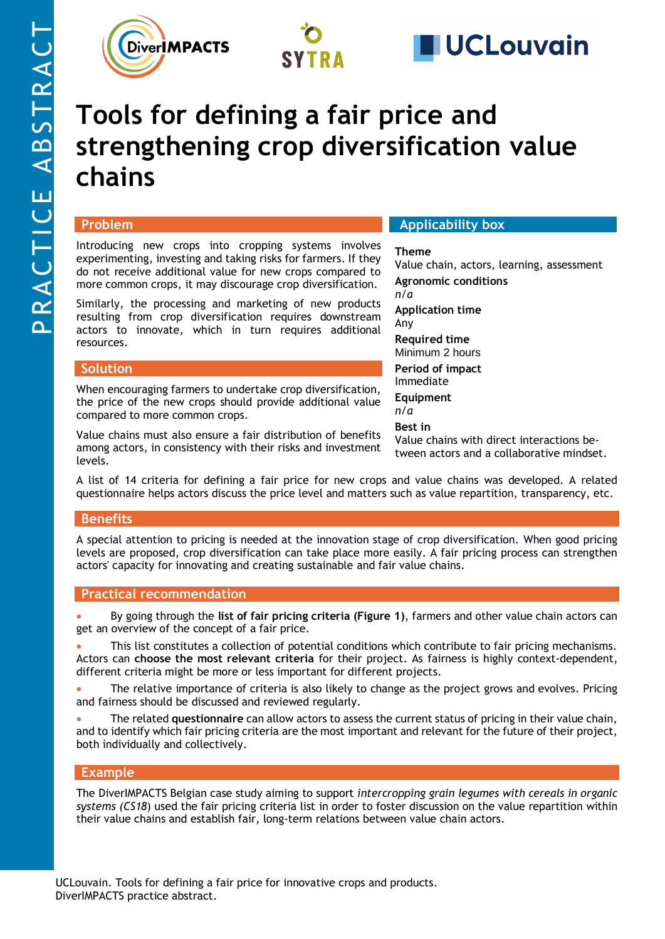





# **Tools for defining a fair price and strengthening crop diversification value chains**

### **Problem**

Introducing new crops into cropping systems involves experimenting, investing and taking risks for farmers. If they do not receive additional value for new crops compared to more common crops, it may discourage crop diversification.

Similarly, the processing and marketing of new products resulting from crop diversification requires downstream actors to innovate, which in turn requires additional resources.

#### **Solution**

When encouraging farmers to undertake crop diversification, the price of the new crops should provide additional value compared to more common crops.

Value chains must also ensure a fair distribution of benefits among actors, in consistency with their risks and investment levels.

#### **Applicability box**

#### **Theme**

Value chain, actors, learning, assessment

**Agronomic conditions** *n/a*

**Application time** Any

**Required time**  Minimum 2 hours

**Period of impact** Immediate

**Equipment** *n/a*

**Best in**

Value chains with direct interactions between actors and a collaborative mindset.

A list of 14 criteria for defining a fair price for new crops and value chains was developed. A related questionnaire helps actors discuss the price level and matters such as value repartition, transparency, etc.

#### **Benefits**

A special attention to pricing is needed at the innovation stage of crop diversification. When good pricing levels are proposed, crop diversification can take place more easily. A fair pricing process can strengthen actors' capacity for innovating and creating sustainable and fair value chains.

#### **Practical recommendation**

• By going through the **list of fair pricing criteria (Figure 1)**, farmers and other value chain actors can get an overview of the concept of a fair price.

• This list constitutes a collection of potential conditions which contribute to fair pricing mechanisms. Actors can **choose the most relevant criteria** for their project. As fairness is highly context-dependent, different criteria might be more or less important for different projects.

The relative importance of criteria is also likely to change as the project grows and evolves. Pricing and fairness should be discussed and reviewed regularly.

• The related **questionnaire** can allow actors to assess the current status of pricing in their value chain, and to identify which fair pricing criteria are the most important and relevant for the future of their project, both individually and collectively.

#### **Example**

The DiverIMPACTS Belgian case study aiming to support *intercropping grain legumes with cereals in organic systems [\(CS18](https://www.diverimpacts.net/case-studies/case-study-18-be.html)*) used the fair pricing criteria list in order to foster discussion on the value repartition within their value chains and establish fair, long-term relations between value chain actors.